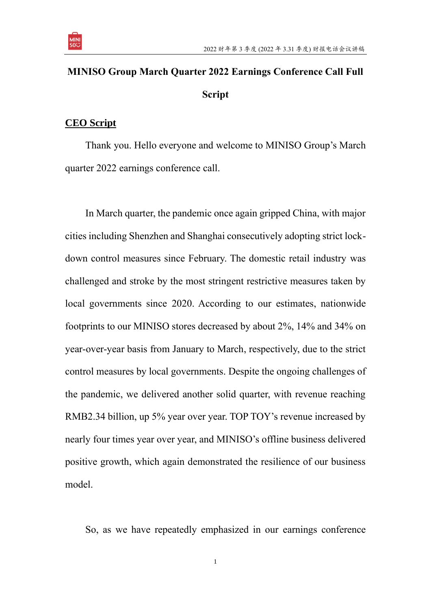

## **MINISO Group March Quarter 2022 Earnings Conference Call Full Script**

## **CEO Script**

Thank you. Hello everyone and welcome to MINISO Group's March quarter 2022 earnings conference call.

In March quarter, the pandemic once again gripped China, with major cities including Shenzhen and Shanghai consecutively adopting strict lockdown control measures since February. The domestic retail industry was challenged and stroke by the most stringent restrictive measures taken by local governments since 2020. According to our estimates, nationwide footprints to our MINISO stores decreased by about 2%, 14% and 34% on year-over-year basis from January to March, respectively, due to the strict control measures by local governments. Despite the ongoing challenges of the pandemic, we delivered another solid quarter, with revenue reaching RMB2.34 billion, up 5% year over year. TOP TOY's revenue increased by nearly four times year over year, and MINISO's offline business delivered positive growth, which again demonstrated the resilience of our business model.

So, as we have repeatedly emphasized in our earnings conference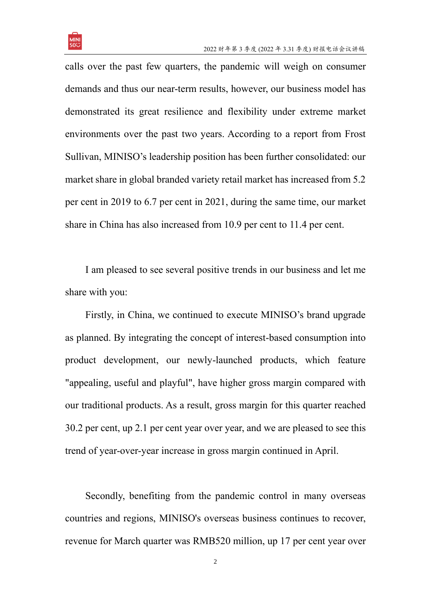

calls over the past few quarters, the pandemic will weigh on consumer demands and thus our near-term results, however, our business model has demonstrated its great resilience and flexibility under extreme market environments over the past two years. According to a report from Frost Sullivan, MINISO's leadership position has been further consolidated: our market share in global branded variety retail market has increased from 5.2 per cent in 2019 to 6.7 per cent in 2021, during the same time, our market share in China has also increased from 10.9 per cent to 11.4 per cent.

I am pleased to see several positive trends in our business and let me share with you:

Firstly, in China, we continued to execute MINISO's brand upgrade as planned. By integrating the concept of interest-based consumption into product development, our newly-launched products, which feature "appealing, useful and playful", have higher gross margin compared with our traditional products. As a result, gross margin for this quarter reached 30.2 per cent, up 2.1 per cent year over year, and we are pleased to see this trend of year-over-year increase in gross margin continued in April.

Secondly, benefiting from the pandemic control in many overseas countries and regions, MINISO's overseas business continues to recover, revenue for March quarter was RMB520 million, up 17 per cent year over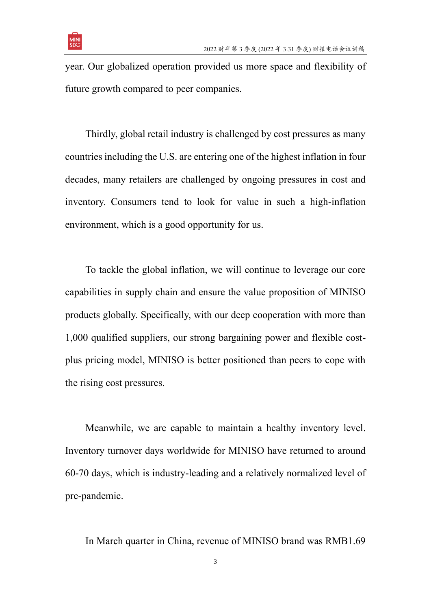

year. Our globalized operation provided us more space and flexibility of future growth compared to peer companies.

Thirdly, global retail industry is challenged by cost pressures as many countries including the U.S. are entering one of the highest inflation in four decades, many retailers are challenged by ongoing pressures in cost and inventory. Consumers tend to look for value in such a high-inflation environment, which is a good opportunity for us.

To tackle the global inflation, we will continue to leverage our core capabilities in supply chain and ensure the value proposition of MINISO products globally. Specifically, with our deep cooperation with more than 1,000 qualified suppliers, our strong bargaining power and flexible costplus pricing model, MINISO is better positioned than peers to cope with the rising cost pressures.

Meanwhile, we are capable to maintain a healthy inventory level. Inventory turnover days worldwide for MINISO have returned to around 60-70 days, which is industry-leading and a relatively normalized level of pre-pandemic.

In March quarter in China, revenue of MINISO brand was RMB1.69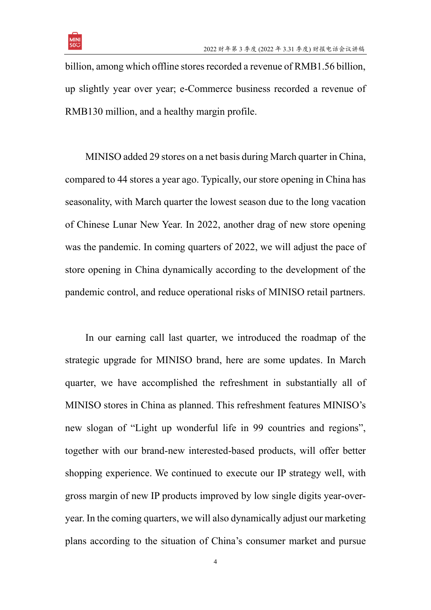

billion, among which offline stores recorded a revenue of RMB1.56 billion, up slightly year over year; e-Commerce business recorded a revenue of RMB130 million, and a healthy margin profile.

MINISO added 29 stores on a net basis during March quarter in China, compared to 44 stores a year ago. Typically, our store opening in China has seasonality, with March quarter the lowest season due to the long vacation of Chinese Lunar New Year. In 2022, another drag of new store opening was the pandemic. In coming quarters of 2022, we will adjust the pace of store opening in China dynamically according to the development of the pandemic control, and reduce operational risks of MINISO retail partners.

In our earning call last quarter, we introduced the roadmap of the strategic upgrade for MINISO brand, here are some updates. In March quarter, we have accomplished the refreshment in substantially all of MINISO stores in China as planned. This refreshment features MINISO's new slogan of "Light up wonderful life in 99 countries and regions", together with our brand-new interested-based products, will offer better shopping experience. We continued to execute our IP strategy well, with gross margin of new IP products improved by low single digits year-overyear. In the coming quarters, we will also dynamically adjust our marketing plans according to the situation of China's consumer market and pursue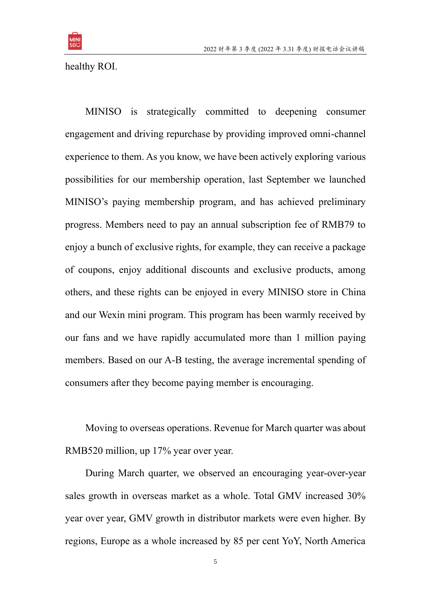

healthy ROI.

MINISO is strategically committed to deepening consumer engagement and driving repurchase by providing improved omni-channel experience to them. As you know, we have been actively exploring various possibilities for our membership operation, last September we launched MINISO's paying membership program, and has achieved preliminary progress. Members need to pay an annual subscription fee of RMB79 to enjoy a bunch of exclusive rights, for example, they can receive a package of coupons, enjoy additional discounts and exclusive products, among others, and these rights can be enjoyed in every MINISO store in China and our Wexin mini program. This program has been warmly received by our fans and we have rapidly accumulated more than 1 million paying members. Based on our A-B testing, the average incremental spending of consumers after they become paying member is encouraging.

Moving to overseas operations. Revenue for March quarter was about RMB520 million, up 17% year over year.

During March quarter, we observed an encouraging year-over-year sales growth in overseas market as a whole. Total GMV increased 30% year over year, GMV growth in distributor markets were even higher. By regions, Europe as a whole increased by 85 per cent YoY, North America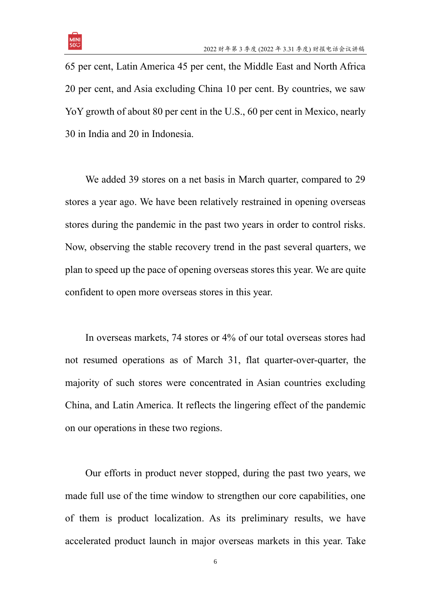

65 per cent, Latin America 45 per cent, the Middle East and North Africa 20 per cent, and Asia excluding China 10 per cent. By countries, we saw YoY growth of about 80 per cent in the U.S., 60 per cent in Mexico, nearly 30 in India and 20 in Indonesia.

We added 39 stores on a net basis in March quarter, compared to 29 stores a year ago. We have been relatively restrained in opening overseas stores during the pandemic in the past two years in order to control risks. Now, observing the stable recovery trend in the past several quarters, we plan to speed up the pace of opening overseas stores this year. We are quite confident to open more overseas stores in this year.

In overseas markets, 74 stores or 4% of our total overseas stores had not resumed operations as of March 31, flat quarter-over-quarter, the majority of such stores were concentrated in Asian countries excluding China, and Latin America. It reflects the lingering effect of the pandemic on our operations in these two regions.

Our efforts in product never stopped, during the past two years, we made full use of the time window to strengthen our core capabilities, one of them is product localization. As its preliminary results, we have accelerated product launch in major overseas markets in this year. Take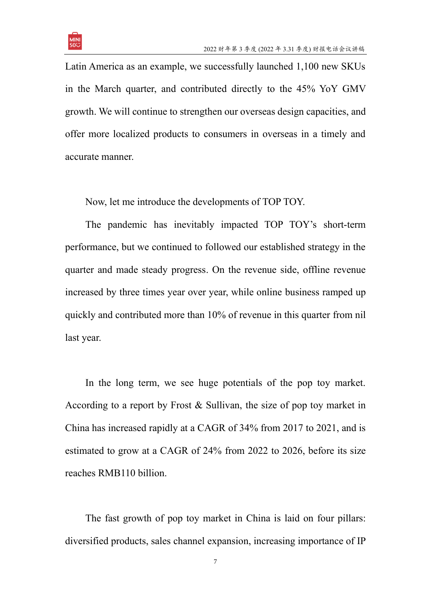

Latin America as an example, we successfully launched 1,100 new SKUs in the March quarter, and contributed directly to the 45% YoY GMV growth. We will continue to strengthen our overseas design capacities, and offer more localized products to consumers in overseas in a timely and accurate manner.

Now, let me introduce the developments of TOP TOY.

The pandemic has inevitably impacted TOP TOY's short-term performance, but we continued to followed our established strategy in the quarter and made steady progress. On the revenue side, offline revenue increased by three times year over year, while online business ramped up quickly and contributed more than 10% of revenue in this quarter from nil last year.

In the long term, we see huge potentials of the pop toy market. According to a report by Frost & Sullivan, the size of pop toy market in China has increased rapidly at a CAGR of 34% from 2017 to 2021, and is estimated to grow at a CAGR of 24% from 2022 to 2026, before its size reaches RMB110 billion.

The fast growth of pop toy market in China is laid on four pillars: diversified products, sales channel expansion, increasing importance of IP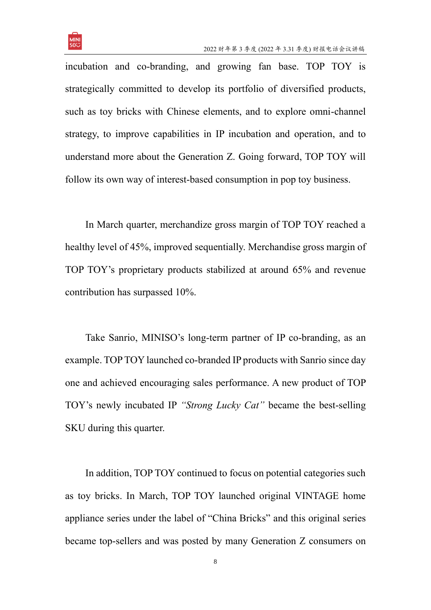

incubation and co-branding, and growing fan base. TOP TOY is strategically committed to develop its portfolio of diversified products, such as toy bricks with Chinese elements, and to explore omni-channel strategy, to improve capabilities in IP incubation and operation, and to understand more about the Generation Z. Going forward, TOP TOY will follow its own way of interest-based consumption in pop toy business.

In March quarter, merchandize gross margin of TOP TOY reached a healthy level of 45%, improved sequentially. Merchandise gross margin of TOP TOY's proprietary products stabilized at around 65% and revenue contribution has surpassed 10%.

Take Sanrio, MINISO's long-term partner of IP co-branding, as an example. TOP TOY launched co-branded IP products with Sanrio since day one and achieved encouraging sales performance. A new product of TOP TOY's newly incubated IP *"Strong Lucky Cat"* became the best-selling SKU during this quarter.

In addition, TOP TOY continued to focus on potential categories such as toy bricks. In March, TOP TOY launched original VINTAGE home appliance series under the label of "China Bricks" and this original series became top-sellers and was posted by many Generation Z consumers on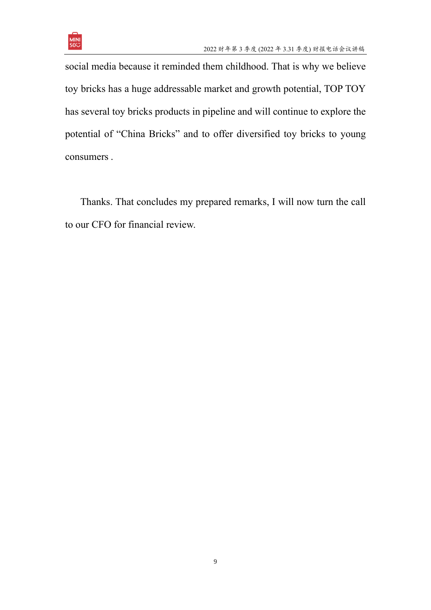

social media because it reminded them childhood. That is why we believe toy bricks has a huge addressable market and growth potential, TOP TOY has several toy bricks products in pipeline and will continue to explore the potential of "China Bricks" and to offer diversified toy bricks to young consumers .

Thanks. That concludes my prepared remarks, I will now turn the call to our CFO for financial review.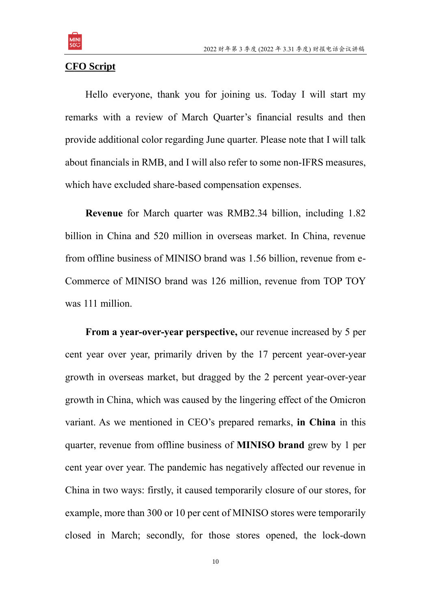

## **CFO Script**

Hello everyone, thank you for joining us. Today I will start my remarks with a review of March Quarter's financial results and then provide additional color regarding June quarter. Please note that I will talk about financials in RMB, and I will also refer to some non-IFRS measures, which have excluded share-based compensation expenses.

**Revenue** for March quarter was RMB2.34 billion, including 1.82 billion in China and 520 million in overseas market. In China, revenue from offline business of MINISO brand was 1.56 billion, revenue from e-Commerce of MINISO brand was 126 million, revenue from TOP TOY was 111 million.

**From a year-over-year perspective,** our revenue increased by 5 per cent year over year, primarily driven by the 17 percent year-over-year growth in overseas market, but dragged by the 2 percent year-over-year growth in China, which was caused by the lingering effect of the Omicron variant. As we mentioned in CEO's prepared remarks, **in China** in this quarter, revenue from offline business of **MINISO brand** grew by 1 per cent year over year. The pandemic has negatively affected our revenue in China in two ways: firstly, it caused temporarily closure of our stores, for example, more than 300 or 10 per cent of MINISO stores were temporarily closed in March; secondly, for those stores opened, the lock-down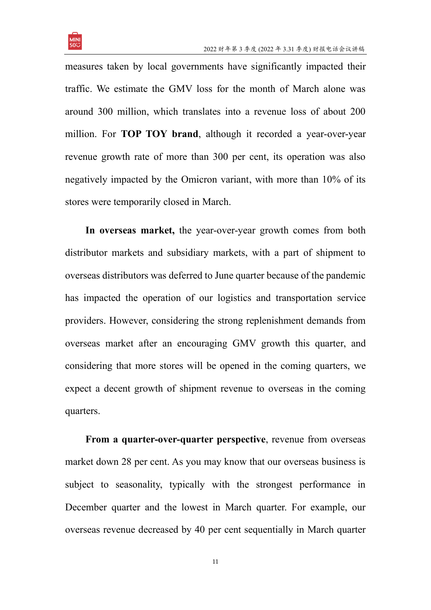

measures taken by local governments have significantly impacted their traffic. We estimate the GMV loss for the month of March alone was around 300 million, which translates into a revenue loss of about 200 million. For **TOP TOY brand**, although it recorded a year-over-year revenue growth rate of more than 300 per cent, its operation was also negatively impacted by the Omicron variant, with more than 10% of its stores were temporarily closed in March.

**In overseas market,** the year-over-year growth comes from both distributor markets and subsidiary markets, with a part of shipment to overseas distributors was deferred to June quarter because of the pandemic has impacted the operation of our logistics and transportation service providers. However, considering the strong replenishment demands from overseas market after an encouraging GMV growth this quarter, and considering that more stores will be opened in the coming quarters, we expect a decent growth of shipment revenue to overseas in the coming quarters.

**From a quarter-over-quarter perspective**, revenue from overseas market down 28 per cent. As you may know that our overseas business is subject to seasonality, typically with the strongest performance in December quarter and the lowest in March quarter. For example, our overseas revenue decreased by 40 per cent sequentially in March quarter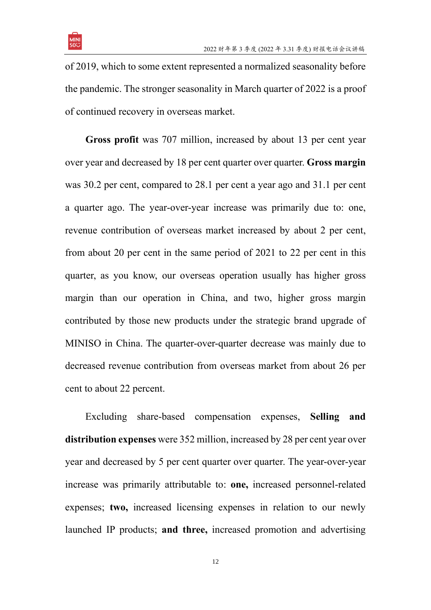

of 2019, which to some extent represented a normalized seasonality before the pandemic. The stronger seasonality in March quarter of 2022 is a proof of continued recovery in overseas market.

**Gross profit** was 707 million, increased by about 13 per cent year over year and decreased by 18 per cent quarter over quarter. **Gross margin**  was 30.2 per cent, compared to 28.1 per cent a year ago and 31.1 per cent a quarter ago. The year-over-year increase was primarily due to: one, revenue contribution of overseas market increased by about 2 per cent, from about 20 per cent in the same period of 2021 to 22 per cent in this quarter, as you know, our overseas operation usually has higher gross margin than our operation in China, and two, higher gross margin contributed by those new products under the strategic brand upgrade of MINISO in China. The quarter-over-quarter decrease was mainly due to decreased revenue contribution from overseas market from about 26 per cent to about 22 percent.

Excluding share-based compensation expenses, **Selling and distribution expenses** were 352 million, increased by 28 per cent year over year and decreased by 5 per cent quarter over quarter. The year-over-year increase was primarily attributable to: **one,** increased personnel-related expenses; **two,** increased licensing expenses in relation to our newly launched IP products; **and three,** increased promotion and advertising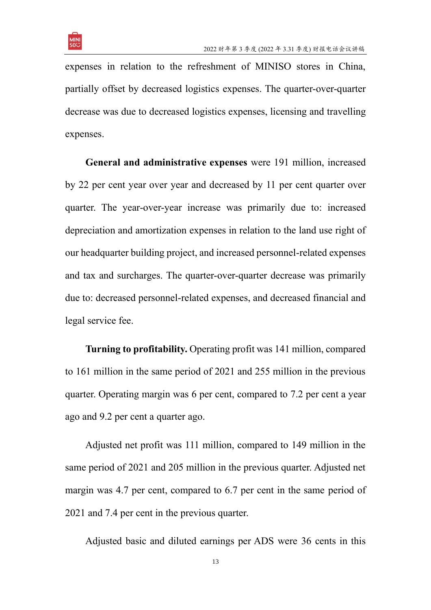

expenses in relation to the refreshment of MINISO stores in China, partially offset by decreased logistics expenses. The quarter-over-quarter decrease was due to decreased logistics expenses, licensing and travelling expenses.

**General and administrative expenses** were 191 million, increased by 22 per cent year over year and decreased by 11 per cent quarter over quarter. The year-over-year increase was primarily due to: increased depreciation and amortization expenses in relation to the land use right of our headquarter building project, and increased personnel-related expenses and tax and surcharges. The quarter-over-quarter decrease was primarily due to: decreased personnel-related expenses, and decreased financial and legal service fee.

**Turning to profitability.** Operating profit was 141 million, compared to 161 million in the same period of 2021 and 255 million in the previous quarter. Operating margin was 6 per cent, compared to 7.2 per cent a year ago and 9.2 per cent a quarter ago.

Adjusted net profit was 111 million, compared to 149 million in the same period of 2021 and 205 million in the previous quarter. Adjusted net margin was 4.7 per cent, compared to 6.7 per cent in the same period of 2021 and 7.4 per cent in the previous quarter.

Adjusted basic and diluted earnings per ADS were 36 cents in this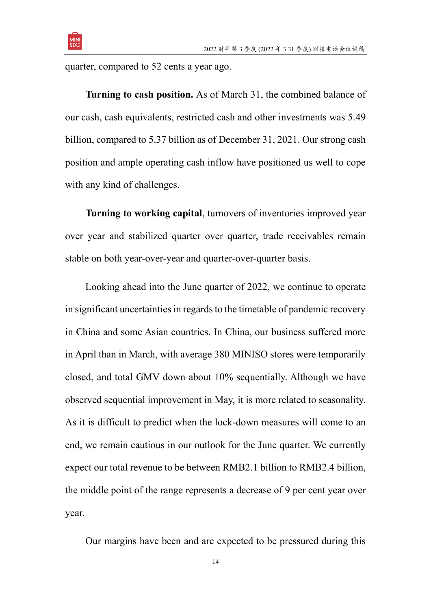

quarter, compared to 52 cents a year ago.

**Turning to cash position.** As of March 31, the combined balance of our cash, cash equivalents, restricted cash and other investments was 5.49 billion, compared to 5.37 billion as of December 31, 2021. Our strong cash position and ample operating cash inflow have positioned us well to cope with any kind of challenges.

**Turning to working capital**, turnovers of inventories improved year over year and stabilized quarter over quarter, trade receivables remain stable on both year-over-year and quarter-over-quarter basis.

Looking ahead into the June quarter of 2022, we continue to operate in significant uncertainties in regards to the timetable of pandemic recovery in China and some Asian countries. In China, our business suffered more in April than in March, with average 380 MINISO stores were temporarily closed, and total GMV down about 10% sequentially. Although we have observed sequential improvement in May, it is more related to seasonality. As it is difficult to predict when the lock-down measures will come to an end, we remain cautious in our outlook for the June quarter. We currently expect our total revenue to be between RMB2.1 billion to RMB2.4 billion, the middle point of the range represents a decrease of 9 per cent year over year.

Our margins have been and are expected to be pressured during this